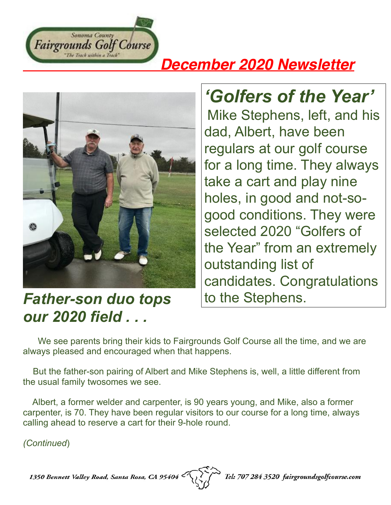

## *December 2020 Newsletter*



*Father-son duo tops our 2020 field . . .* 

## *'Golfers of the Year'*

Mike Stephens, left, and his dad, Albert, have been regulars at our golf course for a long time. They always take a cart and play nine holes, in good and not-sogood conditions. They were selected 2020 "Golfers of the Year" from an extremely outstanding list of candidates. Congratulations to the Stephens.

 We see parents bring their kids to Fairgrounds Golf Course all the time, and we are always pleased and encouraged when that happens.

 But the father-son pairing of Albert and Mike Stephens is, well, a little different from the usual family twosomes we see.

 Albert, a former welder and carpenter, is 90 years young, and Mike, also a former carpenter, is 70. They have been regular visitors to our course for a long time, always calling ahead to reserve a cart for their 9-hole round.

*(Continued*)

1350 Bennett Valley Road, Santa Rosa, CA 95404